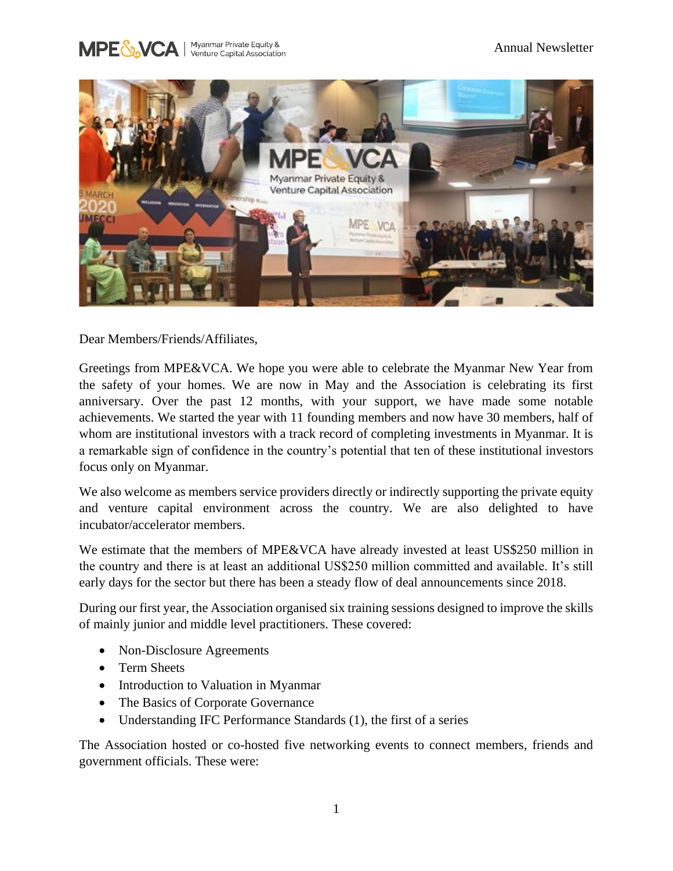



Dear Members/Friends/Affiliates,

Greetings from MPE&VCA. We hope you were able to celebrate the Myanmar New Year from the safety of your homes. We are now in May and the Association is celebrating its first anniversary. Over the past 12 months, with your support, we have made some notable achievements. We started the year with 11 founding members and now have 30 members, half of whom are institutional investors with a track record of completing investments in Myanmar. It is a remarkable sign of confidence in the country's potential that ten of these institutional investors focus only on Myanmar.

We also welcome as members service providers directly or indirectly supporting the private equity and venture capital environment across the country. We are also delighted to have incubator/accelerator members.

We estimate that the members of MPE&VCA have already invested at least US\$250 million in the country and there is at least an additional US\$250 million committed and available. It's still early days for the sector but there has been a steady flow of deal announcements since 2018.

During our first year, the Association organised six training sessions designed to improve the skills of mainly junior and middle level practitioners. These covered:

- Non-Disclosure Agreements
- Term Sheets
- Introduction to Valuation in Myanmar
- The Basics of Corporate Governance
- Understanding IFC Performance Standards (1), the first of a series

The Association hosted or co-hosted five networking events to connect members, friends and government officials. These were: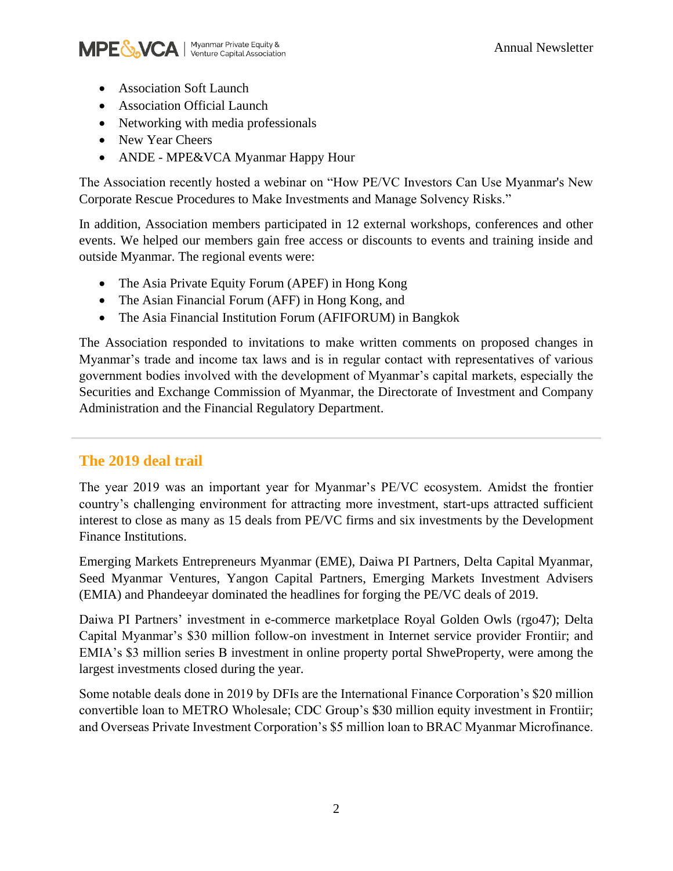

- Association Soft Launch
- Association Official Launch
- Networking with media professionals
- New Year Cheers
- ANDE MPE&VCA Myanmar Happy Hour

The Association recently hosted a webinar on "How PE/VC Investors Can Use Myanmar's New Corporate Rescue Procedures to Make Investments and Manage Solvency Risks."

In addition, Association members participated in 12 external workshops, conferences and other events. We helped our members gain free access or discounts to events and training inside and outside Myanmar. The regional events were:

- The Asia Private Equity Forum (APEF) in Hong Kong
- The Asian Financial Forum (AFF) in Hong Kong, and
- The Asia Financial Institution Forum (AFIFORUM) in Bangkok

The Association responded to invitations to make written comments on proposed changes in Myanmar's trade and income tax laws and is in regular contact with representatives of various government bodies involved with the development of Myanmar's capital markets, especially the Securities and Exchange Commission of Myanmar, the Directorate of Investment and Company Administration and the Financial Regulatory Department.

## **The 2019 deal trail**

The year 2019 was an important year for Myanmar's PE/VC ecosystem. Amidst the frontier country's challenging environment for attracting more investment, start-ups attracted sufficient interest to close as many as 15 deals from PE/VC firms and six investments by the Development Finance Institutions.

Emerging Markets Entrepreneurs Myanmar (EME), Daiwa PI Partners, Delta Capital Myanmar, Seed Myanmar Ventures, Yangon Capital Partners, Emerging Markets Investment Advisers (EMIA) and Phandeeyar dominated the headlines for forging the PE/VC deals of 2019.

Daiwa PI Partners' investment in e-commerce marketplace Royal Golden Owls (rgo47); Delta Capital Myanmar's \$30 million follow-on investment in Internet service provider Frontiir; and EMIA's \$3 million series B investment in online property portal ShweProperty, were among the largest investments closed during the year.

Some notable deals done in 2019 by DFIs are the International Finance Corporation's \$20 million convertible loan to METRO Wholesale; CDC Group's \$30 million equity investment in Frontiir; and Overseas Private Investment Corporation's \$5 million loan to BRAC Myanmar Microfinance.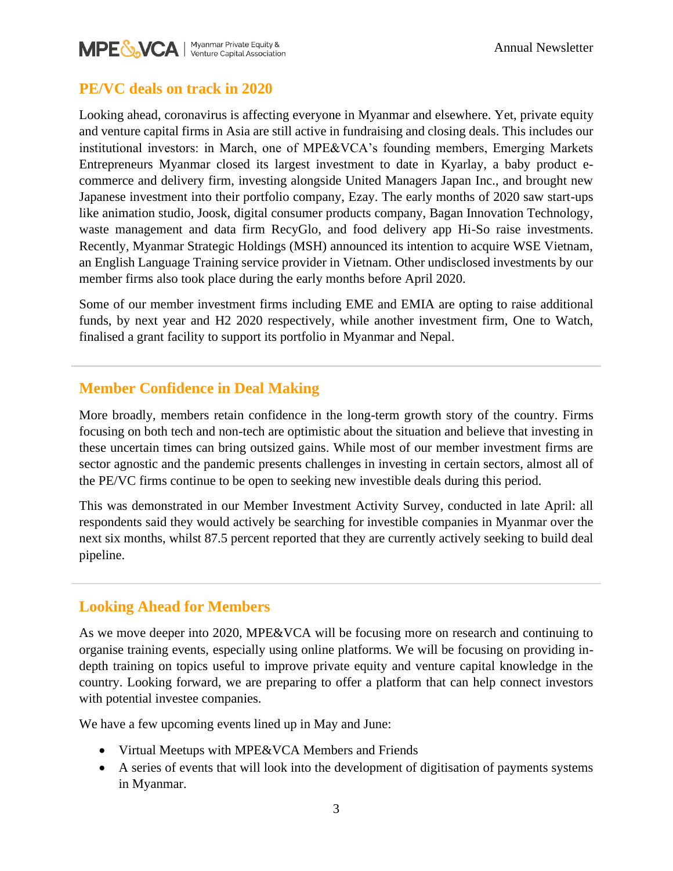

#### **PE/VC deals on track in 2020**

Looking ahead, coronavirus is affecting everyone in Myanmar and elsewhere. Yet, private equity and venture capital firms in Asia are still active in fundraising and closing deals. This includes our institutional investors: in March, one of MPE&VCA's founding members, Emerging Markets Entrepreneurs Myanmar closed its largest investment to date in Kyarlay, a baby product ecommerce and delivery firm, investing alongside United Managers Japan Inc., and brought new Japanese investment into their portfolio company, Ezay. The early months of 2020 saw start-ups like animation studio, Joosk, digital consumer products company, Bagan Innovation Technology, waste management and data firm RecyGlo, and food delivery app Hi-So raise investments. Recently, Myanmar Strategic Holdings (MSH) announced its intention to acquire WSE Vietnam, an English Language Training service provider in Vietnam. Other undisclosed investments by our member firms also took place during the early months before April 2020.

Some of our member investment firms including EME and EMIA are opting to raise additional funds, by next year and H2 2020 respectively, while another investment firm, One to Watch, finalised a grant facility to support its portfolio in Myanmar and Nepal.

### **Member Confidence in Deal Making**

More broadly, members retain confidence in the long-term growth story of the country. Firms focusing on both tech and non-tech are optimistic about the situation and believe that investing in these uncertain times can bring outsized gains. While most of our member investment firms are sector agnostic and the pandemic presents challenges in investing in certain sectors, almost all of the PE/VC firms continue to be open to seeking new investible deals during this period.

This was demonstrated in our Member Investment Activity Survey, conducted in late April: all respondents said they would actively be searching for investible companies in Myanmar over the next six months, whilst 87.5 percent reported that they are currently actively seeking to build deal pipeline.

## **Looking Ahead for Members**

As we move deeper into 2020, MPE&VCA will be focusing more on research and continuing to organise training events, especially using online platforms. We will be focusing on providing indepth training on topics useful to improve private equity and venture capital knowledge in the country. Looking forward, we are preparing to offer a platform that can help connect investors with potential investee companies.

We have a few upcoming events lined up in May and June:

- Virtual Meetups with MPE&VCA Members and Friends
- A series of events that will look into the development of digitisation of payments systems in Myanmar.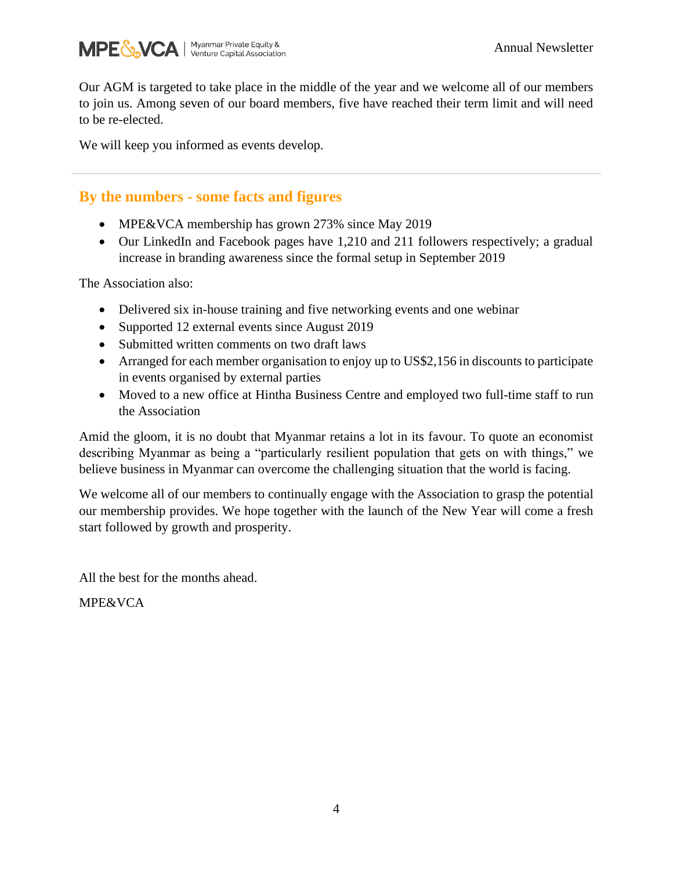

Our AGM is targeted to take place in the middle of the year and we welcome all of our members to join us. Among seven of our board members, five have reached their term limit and will need to be re-elected.

We will keep you informed as events develop.

#### **By the numbers - some facts and figures**

- MPE&VCA membership has grown 273% since May 2019
- Our LinkedIn and Facebook pages have 1,210 and 211 followers respectively; a gradual increase in branding awareness since the formal setup in September 2019

The Association also:

- Delivered six in-house training and five networking events and one webinar
- Supported 12 external events since August 2019
- Submitted written comments on two draft laws
- Arranged for each member organisation to enjoy up to US\$2,156 in discounts to participate in events organised by external parties
- Moved to a new office at Hintha Business Centre and employed two full-time staff to run the Association

Amid the gloom, it is no doubt that Myanmar retains a lot in its favour. To quote an economist describing Myanmar as being a "particularly resilient population that gets on with things," we believe business in Myanmar can overcome the challenging situation that the world is facing.

We welcome all of our members to continually engage with the Association to grasp the potential our membership provides. We hope together with the launch of the New Year will come a fresh start followed by growth and prosperity.

All the best for the months ahead.

MPE&VCA